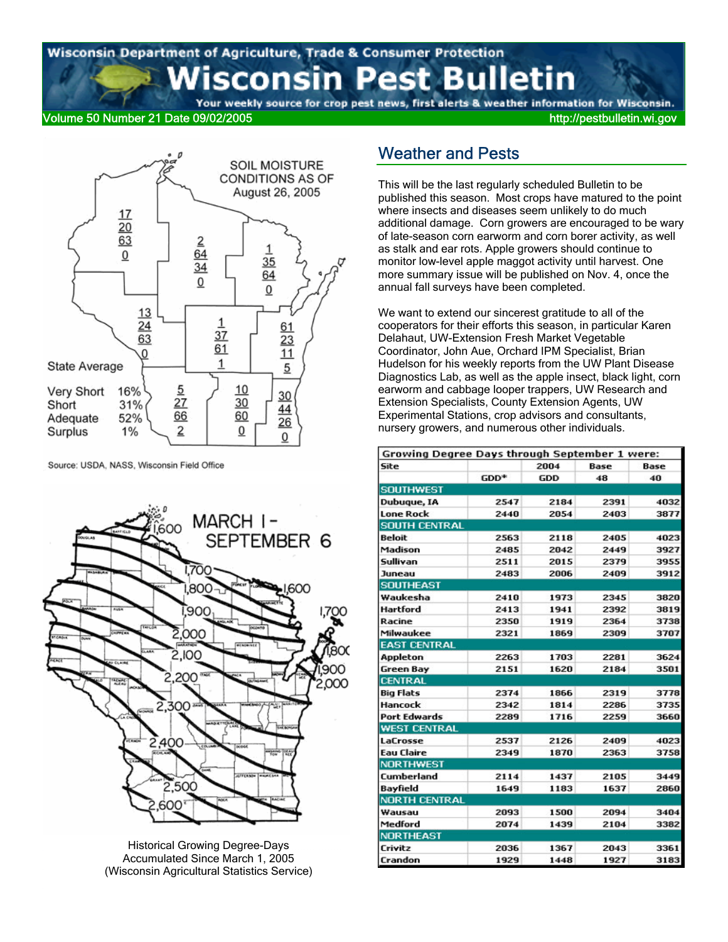# Wisconsin Department of Agriculture, Trade & Consumer Protection sconsin Pest Bulletin

# Your weekly source for crop pest news, first alerts & weather information for Wisconsin.

#### Volume 50 Number 21 Date 09/02/2005 http://pestbulletin.wi.gov



Source: USDA, NASS, Wisconsin Field Office



Historical Growing Degree-Days Accumulated Since March 1, 2005 (Wisconsin Agricultural Statistics Service)

#### Weather and Pests

This will be the last regularly scheduled Bulletin to be published this season. Most crops have matured to the point where insects and diseases seem unlikely to do much additional damage. Corn growers are encouraged to be wary of late-season corn earworm and corn borer activity, as well as stalk and ear rots. Apple growers should continue to monitor low-level apple maggot activity until harvest. One more summary issue will be published on Nov. 4, once the annual fall surveys have been completed.

We want to extend our sincerest gratitude to all of the cooperators for their efforts this season, in particular Karen Delahaut, UW-Extension Fresh Market Vegetable Coordinator, John Aue, Orchard IPM Specialist, Brian Hudelson for his weekly reports from the UW Plant Disease Diagnostics Lab, as well as the apple insect, black light, corn earworm and cabbage looper trappers, UW Research and Extension Specialists, County Extension Agents, UW Experimental Stations, crop advisors and consultants, nursery growers, and numerous other individuals.

| Growing Degree Days through September 1 were: |        |            |      |      |  |  |  |  |
|-----------------------------------------------|--------|------------|------|------|--|--|--|--|
| Site                                          |        | 2004       | Base |      |  |  |  |  |
|                                               | $GDD*$ | <b>GDD</b> | 48   | 40   |  |  |  |  |
| <b>SOUTHWEST</b>                              |        |            |      |      |  |  |  |  |
| Dubuque, IA                                   | 2547   | 2184       | 2391 | 4032 |  |  |  |  |
| <b>Lone Rock</b>                              | 2440   | 2054       | 2403 | 3877 |  |  |  |  |
| <b>SOUTH CENTRAL</b>                          |        |            |      |      |  |  |  |  |
| Beloit                                        | 2563   | 2118       | 2405 | 4023 |  |  |  |  |
| Madison                                       | 2485   | 2042       | 2449 | 3927 |  |  |  |  |
| Sullivan                                      | 2511   | 2015       | 2379 | 3955 |  |  |  |  |
| Juneau                                        | 2483   | 2006       | 2409 | 3912 |  |  |  |  |
| <b>SOUTHEAST</b>                              |        |            |      |      |  |  |  |  |
| Waukesha                                      | 2410   | 1973       | 2345 | 3820 |  |  |  |  |
| Hartford                                      | 2413   | 1941       | 2392 | 3819 |  |  |  |  |
| Racine                                        | 2350   | 1919       | 2364 | 3738 |  |  |  |  |
| Milwaukee                                     | 2321   | 1869       | 2309 | 3707 |  |  |  |  |
| <b>EAST CENTRAL</b>                           |        |            |      |      |  |  |  |  |
| <b>Appleton</b>                               | 2263   | 1703       | 2281 | 3624 |  |  |  |  |
| <b>Green Bay</b>                              | 2151   | 1620       | 2184 | 3501 |  |  |  |  |
| <b>CENTRAL</b>                                |        |            |      |      |  |  |  |  |
| <b>Big Flats</b>                              | 2374   | 1866       | 2319 | 3778 |  |  |  |  |
| Hancock                                       | 2342   | 1814       | 2286 | 3735 |  |  |  |  |
| <b>Port Edwards</b>                           | 2289   | 1716       | 2259 | 3660 |  |  |  |  |
| <b>WEST CENTRAL</b>                           |        |            |      |      |  |  |  |  |
| LaCrosse                                      | 2537   | 2126       | 2409 | 4023 |  |  |  |  |
| <b>Eau Claire</b>                             | 2349   | 1870       | 2363 | 3758 |  |  |  |  |
| <b>NORTHWEST</b>                              |        |            |      |      |  |  |  |  |
| Cumberland                                    | 2114   | 1437       | 2105 | 3449 |  |  |  |  |
| Bayfield                                      | 1649   | 1183       | 1637 | 2860 |  |  |  |  |
| <b>NORTH CENTRAL</b>                          |        |            |      |      |  |  |  |  |
| Wausau                                        | 2093   | 1500       | 2094 | 3404 |  |  |  |  |
| Medford                                       | 2074   | 1439       | 2104 | 3382 |  |  |  |  |
| <b>NORTHEAST</b>                              |        |            |      |      |  |  |  |  |
| Crivitz                                       | 2036   | 1367       | 2043 | 3361 |  |  |  |  |
| Crandon                                       | 1929   | 1448       | 1927 | 3183 |  |  |  |  |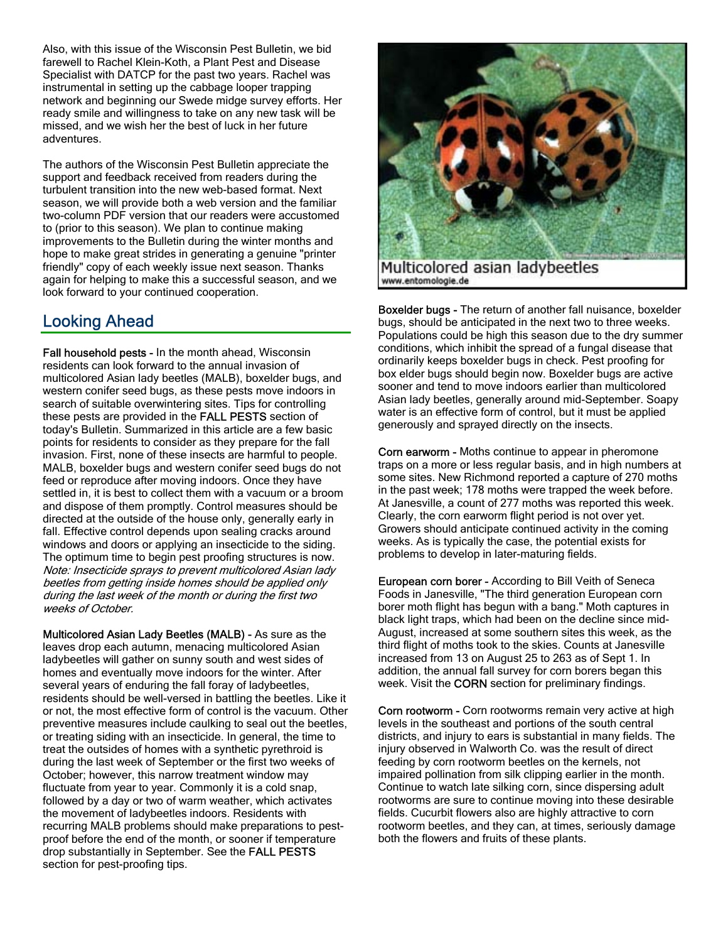Also, with this issue of the Wisconsin Pest Bulletin, we bid farewell to Rachel Klein-Koth, a Plant Pest and Disease Specialist with DATCP for the past two years. Rachel was instrumental in setting up the cabbage looper trapping network and beginning our Swede midge survey efforts. Her ready smile and willingness to take on any new task will be missed, and we wish her the best of luck in her future adventures.

The authors of the Wisconsin Pest Bulletin appreciate the support and feedback received from readers during the turbulent transition into the new web-based format. Next season, we will provide both a web version and the familiar two-column PDF version that our readers were accustomed to (prior to this season). We plan to continue making improvements to the Bulletin during the winter months and hope to make great strides in generating a genuine "printer friendly" copy of each weekly issue next season. Thanks again for helping to make this a successful season, and we look forward to your continued cooperation.

## Looking Ahead

Fall household pests - In the month ahead, Wisconsin residents can look forward to the annual invasion of multicolored Asian lady beetles (MALB), boxelder bugs, and western conifer seed bugs, as these pests move indoors in search of suitable overwintering sites. Tips for controlling these pests are provided in the FALL PESTS section of today's Bulletin. Summarized in this article are a few basic points for residents to consider as they prepare for the fall invasion. First, none of these insects are harmful to people. MALB, boxelder bugs and western conifer seed bugs do not feed or reproduce after moving indoors. Once they have settled in, it is best to collect them with a vacuum or a broom and dispose of them promptly. Control measures should be directed at the outside of the house only, generally early in fall. Effective control depends upon sealing cracks around windows and doors or applying an insecticide to the siding. The optimum time to begin pest proofing structures is now. Note: Insecticide sprays to prevent multicolored Asian lady beetles from getting inside homes should be applied only during the last week of the month or during the first two weeks of October.

Multicolored Asian Lady Beetles (MALB) - As sure as the leaves drop each autumn, menacing multicolored Asian ladybeetles will gather on sunny south and west sides of homes and eventually move indoors for the winter. After several years of enduring the fall foray of ladybeetles, residents should be well-versed in battling the beetles. Like it or not, the most effective form of control is the vacuum. Other preventive measures include caulking to seal out the beetles, or treating siding with an insecticide. In general, the time to treat the outsides of homes with a synthetic pyrethroid is during the last week of September or the first two weeks of October; however, this narrow treatment window may fluctuate from year to year. Commonly it is a cold snap, followed by a day or two of warm weather, which activates the movement of ladybeetles indoors. Residents with recurring MALB problems should make preparations to pestproof before the end of the month, or sooner if temperature drop substantially in September. See the FALL PESTS section for pest-proofing tips.



Multicolored asian ladybeetles www.entomologie.de

Boxelder bugs - The return of another fall nuisance, boxelder bugs, should be anticipated in the next two to three weeks. Populations could be high this season due to the dry summer conditions, which inhibit the spread of a fungal disease that ordinarily keeps boxelder bugs in check. Pest proofing for box elder bugs should begin now. Boxelder bugs are active sooner and tend to move indoors earlier than multicolored Asian lady beetles, generally around mid-September. Soapy water is an effective form of control, but it must be applied generously and sprayed directly on the insects.

Corn earworm - Moths continue to appear in pheromone traps on a more or less regular basis, and in high numbers at some sites. New Richmond reported a capture of 270 moths in the past week; 178 moths were trapped the week before. At Janesville, a count of 277 moths was reported this week. Clearly, the corn earworm flight period is not over yet. Growers should anticipate continued activity in the coming weeks. As is typically the case, the potential exists for problems to develop in later-maturing fields.

European corn borer - According to Bill Veith of Seneca Foods in Janesville, "The third generation European corn borer moth flight has begun with a bang." Moth captures in black light traps, which had been on the decline since mid-August, increased at some southern sites this week, as the third flight of moths took to the skies. Counts at Janesville increased from 13 on August 25 to 263 as of Sept 1. In addition, the annual fall survey for corn borers began this week. Visit the **CORN** section for preliminary findings.

Corn rootworm - Corn rootworms remain very active at high levels in the southeast and portions of the south central districts, and injury to ears is substantial in many fields. The injury observed in Walworth Co. was the result of direct feeding by corn rootworm beetles on the kernels, not impaired pollination from silk clipping earlier in the month. Continue to watch late silking corn, since dispersing adult rootworms are sure to continue moving into these desirable fields. Cucurbit flowers also are highly attractive to corn rootworm beetles, and they can, at times, seriously damage both the flowers and fruits of these plants.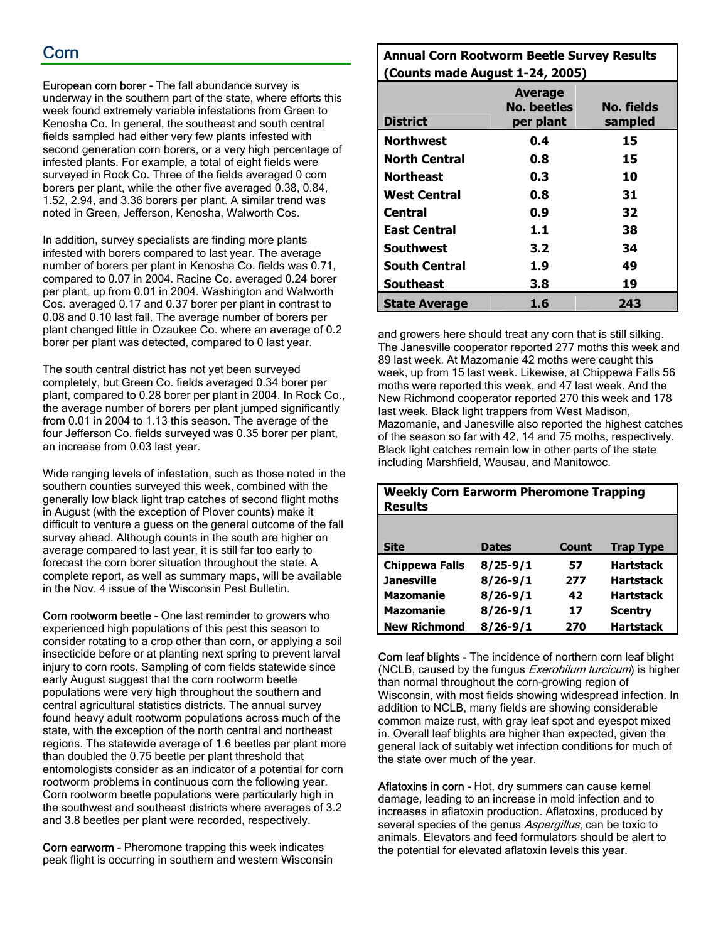## Corn

European corn borer - The fall abundance survey is underway in the southern part of the state, where efforts this week found extremely variable infestations from Green to Kenosha Co. In general, the southeast and south central fields sampled had either very few plants infested with second generation corn borers, or a very high percentage of infested plants. For example, a total of eight fields were surveyed in Rock Co. Three of the fields averaged 0 corn borers per plant, while the other five averaged 0.38, 0.84, 1.52, 2.94, and 3.36 borers per plant. A similar trend was noted in Green, Jefferson, Kenosha, Walworth Cos.

In addition, survey specialists are finding more plants infested with borers compared to last year. The average number of borers per plant in Kenosha Co. fields was 0.71, compared to 0.07 in 2004. Racine Co. averaged 0.24 borer per plant, up from 0.01 in 2004. Washington and Walworth Cos. averaged 0.17 and 0.37 borer per plant in contrast to 0.08 and 0.10 last fall. The average number of borers per plant changed little in Ozaukee Co. where an average of 0.2 borer per plant was detected, compared to 0 last year.

The south central district has not yet been surveyed completely, but Green Co. fields averaged 0.34 borer per plant, compared to 0.28 borer per plant in 2004. In Rock Co., the average number of borers per plant jumped significantly from 0.01 in 2004 to 1.13 this season. The average of the four Jefferson Co. fields surveyed was 0.35 borer per plant, an increase from 0.03 last year.

Wide ranging levels of infestation, such as those noted in the southern counties surveyed this week, combined with the generally low black light trap catches of second flight moths in August (with the exception of Plover counts) make it difficult to venture a guess on the general outcome of the fall survey ahead. Although counts in the south are higher on average compared to last year, it is still far too early to forecast the corn borer situation throughout the state. A complete report, as well as summary maps, will be available in the Nov. 4 issue of the Wisconsin Pest Bulletin.

Corn rootworm beetle - One last reminder to growers who experienced high populations of this pest this season to consider rotating to a crop other than corn, or applying a soil insecticide before or at planting next spring to prevent larval injury to corn roots. Sampling of corn fields statewide since early August suggest that the corn rootworm beetle populations were very high throughout the southern and central agricultural statistics districts. The annual survey found heavy adult rootworm populations across much of the state, with the exception of the north central and northeast regions. The statewide average of 1.6 beetles per plant more than doubled the 0.75 beetle per plant threshold that entomologists consider as an indicator of a potential for corn rootworm problems in continuous corn the following year. Corn rootworm beetle populations were particularly high in the southwest and southeast districts where averages of 3.2 and 3.8 beetles per plant were recorded, respectively.

Corn earworm - Pheromone trapping this week indicates peak flight is occurring in southern and western Wisconsin

#### **Annual Corn Rootworm Beetle Survey Results (Counts made August 1-24, 2005)**

| <b>District</b>      | <b>Average</b><br><b>No. beetles</b><br>per plant | No. fields<br>sampled |
|----------------------|---------------------------------------------------|-----------------------|
| <b>Northwest</b>     | 0.4                                               | 15                    |
| <b>North Central</b> | 0.8                                               | 15                    |
| <b>Northeast</b>     | 0.3                                               | 10                    |
| <b>West Central</b>  | 0.8                                               | 31                    |
| <b>Central</b>       | 0.9                                               | 32                    |
| <b>East Central</b>  | 1.1                                               | 38                    |
| Southwest            | 3.2                                               | 34                    |
| <b>South Central</b> | 1.9                                               | 49                    |
| <b>Southeast</b>     | 3.8                                               | 19                    |
| <b>State Average</b> | 1.6                                               | 243                   |

and growers here should treat any corn that is still silking. The Janesville cooperator reported 277 moths this week and 89 last week. At Mazomanie 42 moths were caught this week, up from 15 last week. Likewise, at Chippewa Falls 56 moths were reported this week, and 47 last week. And the New Richmond cooperator reported 270 this week and 178 last week. Black light trappers from West Madison, Mazomanie, and Janesville also reported the highest catches of the season so far with 42, 14 and 75 moths, respectively. Black light catches remain low in other parts of the state including Marshfield, Wausau, and Manitowoc.

| <b>Results</b>        |              |       |                  |
|-----------------------|--------------|-------|------------------|
|                       |              |       |                  |
| Site                  | <b>Dates</b> | Count | <b>Trap Type</b> |
| <b>Chippewa Falls</b> | $8/25 - 9/1$ | 57    | <b>Hartstack</b> |
| <b>Janesville</b>     | $8/26 - 9/1$ | 277   | <b>Hartstack</b> |
| <b>Mazomanie</b>      | $8/26 - 9/1$ | 42    | <b>Hartstack</b> |
| <b>Mazomanie</b>      | $8/26 - 9/1$ | 17    | <b>Scentry</b>   |
| <b>New Richmond</b>   | $8/26 - 9/1$ | 270   | <b>Hartstack</b> |

**Weekly Corn Earworm Pheromone Trapping** 

Corn leaf blights - The incidence of northern corn leaf blight (NCLB, caused by the fungus *Exerohilum turcicum*) is higher than normal throughout the corn-growing region of Wisconsin, with most fields showing widespread infection. In addition to NCLB, many fields are showing considerable common maize rust, with gray leaf spot and eyespot mixed in. Overall leaf blights are higher than expected, given the general lack of suitably wet infection conditions for much of the state over much of the year.

Aflatoxins in corn - Hot, dry summers can cause kernel damage, leading to an increase in mold infection and to increases in aflatoxin production. Aflatoxins, produced by several species of the genus Aspergillus, can be toxic to animals. Elevators and feed formulators should be alert to the potential for elevated aflatoxin levels this year.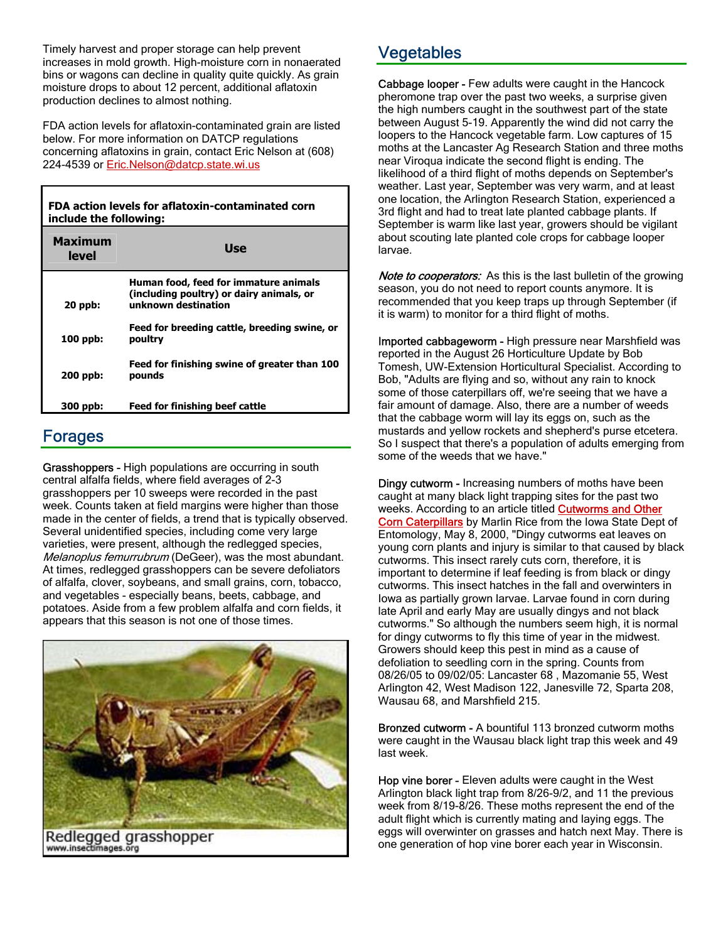Timely harvest and proper storage can help prevent increases in mold growth. High-moisture corn in nonaerated bins or wagons can decline in quality quite quickly. As grain moisture drops to about 12 percent, additional aflatoxin production declines to almost nothing.

FDA action levels for aflatoxin-contaminated grain are listed below. For more information on DATCP regulations concerning aflatoxins in grain, contact Eric Nelson at (608) 224-4539 or Eric.Nelson@datcp.state.wi.us

| FDA action levels for aflatoxin-contaminated corn<br>include the following: |                                                                                                          |  |  |  |  |
|-----------------------------------------------------------------------------|----------------------------------------------------------------------------------------------------------|--|--|--|--|
| <b>Maximum</b><br>level                                                     | <b>Use</b>                                                                                               |  |  |  |  |
| $20$ ppb:                                                                   | Human food, feed for immature animals<br>(including poultry) or dairy animals, or<br>unknown destination |  |  |  |  |
| $100$ ppb:                                                                  | Feed for breeding cattle, breeding swine, or<br>poultry                                                  |  |  |  |  |
| 200 ppb:                                                                    | Feed for finishing swine of greater than 100<br>pounds                                                   |  |  |  |  |
| 300 ppb:                                                                    | <b>Feed for finishing beef cattle</b>                                                                    |  |  |  |  |

### Forages

Т

Grasshoppers - High populations are occurring in south central alfalfa fields, where field averages of 2-3 grasshoppers per 10 sweeps were recorded in the past week. Counts taken at field margins were higher than those made in the center of fields, a trend that is typically observed. Several unidentified species, including come very large varieties, were present, although the redlegged species, Melanoplus femurrubrum (DeGeer), was the most abundant. At times, redlegged grasshoppers can be severe defoliators of alfalfa, clover, soybeans, and small grains, corn, tobacco, and vegetables - especially beans, beets, cabbage, and potatoes. Aside from a few problem alfalfa and corn fields, it appears that this season is not one of those times.



## Vegetables

Cabbage looper - Few adults were caught in the Hancock pheromone trap over the past two weeks, a surprise given the high numbers caught in the southwest part of the state between August 5-19. Apparently the wind did not carry the loopers to the Hancock vegetable farm. Low captures of 15 moths at the Lancaster Ag Research Station and three moths near Viroqua indicate the second flight is ending. The likelihood of a third flight of moths depends on September's weather. Last year, September was very warm, and at least one location, the Arlington Research Station, experienced a 3rd flight and had to treat late planted cabbage plants. If September is warm like last year, growers should be vigilant about scouting late planted cole crops for cabbage looper larvae.

Note to cooperators: As this is the last bulletin of the growing season, you do not need to report counts anymore. It is recommended that you keep traps up through September (if it is warm) to monitor for a third flight of moths.

Imported cabbageworm - High pressure near Marshfield was reported in the August 26 Horticulture Update by Bob Tomesh, UW-Extension Horticultural Specialist. According to Bob, "Adults are flying and so, without any rain to knock some of those caterpillars off, we're seeing that we have a fair amount of damage. Also, there are a number of weeds that the cabbage worm will lay its eggs on, such as the mustards and yellow rockets and shepherd's purse etcetera. So I suspect that there's a population of adults emerging from some of the weeds that we have."

Dingy cutworm - Increasing numbers of moths have been caught at many black light trapping sites for the past two weeks. According to an article titled **Cutworms and Other** Corn Caterpillars by Marlin Rice from the Iowa State Dept of Entomology, May 8, 2000, "Dingy cutworms eat leaves on young corn plants and injury is similar to that caused by black cutworms. This insect rarely cuts corn, therefore, it is important to determine if leaf feeding is from black or dingy cutworms. This insect hatches in the fall and overwinters in Iowa as partially grown larvae. Larvae found in corn during late April and early May are usually dingys and not black cutworms." So although the numbers seem high, it is normal for dingy cutworms to fly this time of year in the midwest. Growers should keep this pest in mind as a cause of defoliation to seedling corn in the spring. Counts from 08/26/05 to 09/02/05: Lancaster 68 , Mazomanie 55, West Arlington 42, West Madison 122, Janesville 72, Sparta 208, Wausau 68, and Marshfield 215.

Bronzed cutworm - A bountiful 113 bronzed cutworm moths were caught in the Wausau black light trap this week and 49 last week.

Hop vine borer - Eleven adults were caught in the West Arlington black light trap from 8/26-9/2, and 11 the previous week from 8/19-8/26. These moths represent the end of the adult flight which is currently mating and laying eggs. The eggs will overwinter on grasses and hatch next May. There is one generation of hop vine borer each year in Wisconsin.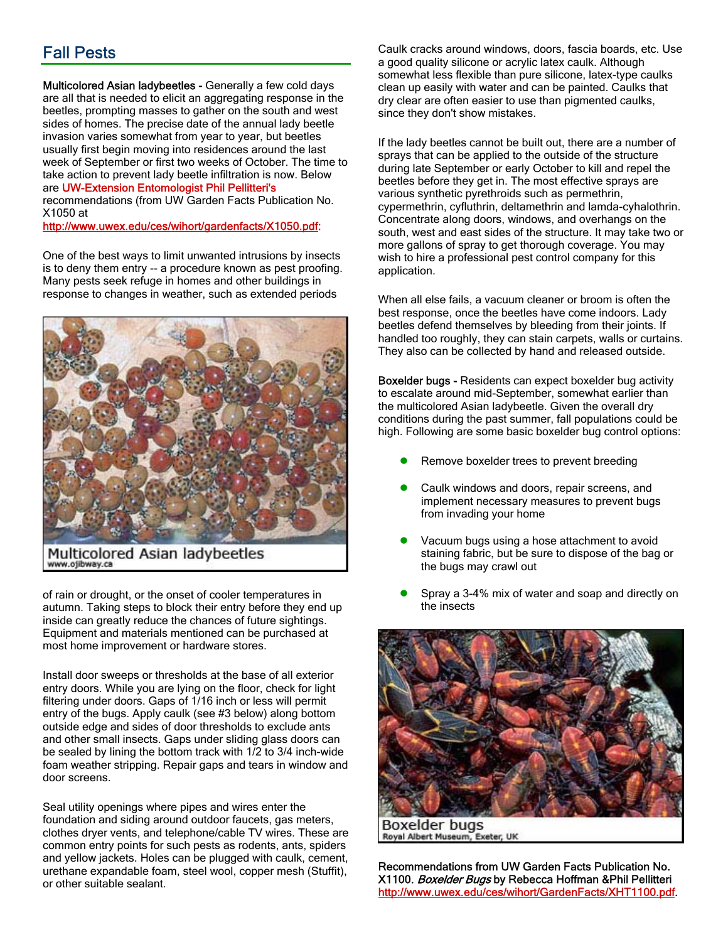## Fall Pests

Multicolored Asian ladybeetles - Generally a few cold days are all that is needed to elicit an aggregating response in the beetles, prompting masses to gather on the south and west sides of homes. The precise date of the annual lady beetle invasion varies somewhat from year to year, but beetles usually first begin moving into residences around the last week of September or first two weeks of October. The time to take action to prevent lady beetle infiltration is now. Below

#### are UW-Extension Entomologist Phil Pellitteri's

recommendations (from UW Garden Facts Publication No. X1050 at

http://www.uwex.edu/ces/wihort/gardenfacts/X1050.pdf:

One of the best ways to limit unwanted intrusions by insects is to deny them entry -- a procedure known as pest proofing. Many pests seek refuge in homes and other buildings in response to changes in weather, such as extended periods



Multicolored Asian ladybeetles www.ojibway.ca

of rain or drought, or the onset of cooler temperatures in autumn. Taking steps to block their entry before they end up inside can greatly reduce the chances of future sightings. Equipment and materials mentioned can be purchased at most home improvement or hardware stores.

Install door sweeps or thresholds at the base of all exterior entry doors. While you are lying on the floor, check for light filtering under doors. Gaps of 1/16 inch or less will permit entry of the bugs. Apply caulk (see #3 below) along bottom outside edge and sides of door thresholds to exclude ants and other small insects. Gaps under sliding glass doors can be sealed by lining the bottom track with 1/2 to 3/4 inch-wide foam weather stripping. Repair gaps and tears in window and door screens.

Seal utility openings where pipes and wires enter the foundation and siding around outdoor faucets, gas meters, clothes dryer vents, and telephone/cable TV wires. These are common entry points for such pests as rodents, ants, spiders and yellow jackets. Holes can be plugged with caulk, cement, urethane expandable foam, steel wool, copper mesh (Stuffit), or other suitable sealant.

Caulk cracks around windows, doors, fascia boards, etc. Use a good quality silicone or acrylic latex caulk. Although somewhat less flexible than pure silicone, latex-type caulks clean up easily with water and can be painted. Caulks that dry clear are often easier to use than pigmented caulks, since they don't show mistakes.

If the lady beetles cannot be built out, there are a number of sprays that can be applied to the outside of the structure during late September or early October to kill and repel the beetles before they get in. The most effective sprays are various synthetic pyrethroids such as permethrin, cypermethrin, cyfluthrin, deltamethrin and lamda-cyhalothrin. Concentrate along doors, windows, and overhangs on the south, west and east sides of the structure. It may take two or more gallons of spray to get thorough coverage. You may wish to hire a professional pest control company for this application.

When all else fails, a vacuum cleaner or broom is often the best response, once the beetles have come indoors. Lady beetles defend themselves by bleeding from their joints. If handled too roughly, they can stain carpets, walls or curtains. They also can be collected by hand and released outside.

Boxelder bugs - Residents can expect boxelder bug activity to escalate around mid-September, somewhat earlier than the multicolored Asian ladybeetle. Given the overall dry conditions during the past summer, fall populations could be high. Following are some basic boxelder bug control options:

- Remove boxelder trees to prevent breeding
- Caulk windows and doors, repair screens, and implement necessary measures to prevent bugs from invading your home
- Vacuum bugs using a hose attachment to avoid staining fabric, but be sure to dispose of the bag or the bugs may crawl out
- Spray a 3-4% mix of water and soap and directly on the insects



**Boxelder bugs** Royal Albert Museum, Exeter, UK

Recommendations from UW Garden Facts Publication No. X1100. Boxelder Bugs by Rebecca Hoffman &Phil Pellitteri http://www.uwex.edu/ces/wihort/GardenFacts/XHT1100.pdf.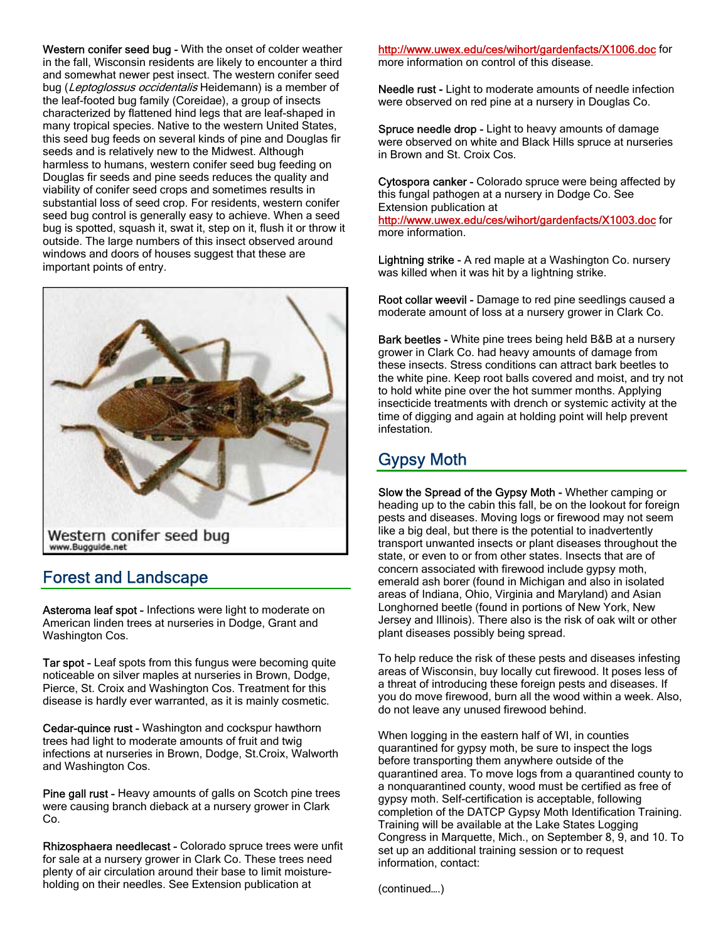Western conifer seed bug - With the onset of colder weather in the fall, Wisconsin residents are likely to encounter a third and somewhat newer pest insect. The western conifer seed bug (Leptoglossus occidentalis Heidemann) is a member of the leaf-footed bug family (Coreidae), a group of insects characterized by flattened hind legs that are leaf-shaped in many tropical species. Native to the western United States, this seed bug feeds on several kinds of pine and Douglas fir seeds and is relatively new to the Midwest. Although harmless to humans, western conifer seed bug feeding on Douglas fir seeds and pine seeds reduces the quality and viability of conifer seed crops and sometimes results in substantial loss of seed crop. For residents, western conifer seed bug control is generally easy to achieve. When a seed bug is spotted, squash it, swat it, step on it, flush it or throw it outside. The large numbers of this insect observed around windows and doors of houses suggest that these are important points of entry.



### Forest and Landscape

Asteroma leaf spot - Infections were light to moderate on American linden trees at nurseries in Dodge, Grant and Washington Cos.

Tar spot - Leaf spots from this fungus were becoming quite noticeable on silver maples at nurseries in Brown, Dodge, Pierce, St. Croix and Washington Cos. Treatment for this disease is hardly ever warranted, as it is mainly cosmetic.

Cedar-quince rust - Washington and cockspur hawthorn trees had light to moderate amounts of fruit and twig infections at nurseries in Brown, Dodge, St.Croix, Walworth and Washington Cos.

Pine gall rust - Heavy amounts of galls on Scotch pine trees were causing branch dieback at a nursery grower in Clark Co.

Rhizosphaera needlecast - Colorado spruce trees were unfit for sale at a nursery grower in Clark Co. These trees need plenty of air circulation around their base to limit moistureholding on their needles. See Extension publication at

http://www.uwex.edu/ces/wihort/gardenfacts/X1006.doc for more information on control of this disease.

Needle rust - Light to moderate amounts of needle infection were observed on red pine at a nursery in Douglas Co.

Spruce needle drop - Light to heavy amounts of damage were observed on white and Black Hills spruce at nurseries in Brown and St. Croix Cos.

Cytospora canker - Colorado spruce were being affected by this fungal pathogen at a nursery in Dodge Co. See Extension publication at http://www.uwex.edu/ces/wihort/gardenfacts/X1003.doc for more information.

Lightning strike - A red maple at a Washington Co. nursery was killed when it was hit by a lightning strike.

Root collar weevil - Damage to red pine seedlings caused a moderate amount of loss at a nursery grower in Clark Co.

Bark beetles - White pine trees being held B&B at a nursery grower in Clark Co. had heavy amounts of damage from these insects. Stress conditions can attract bark beetles to the white pine. Keep root balls covered and moist, and try not to hold white pine over the hot summer months. Applying insecticide treatments with drench or systemic activity at the time of digging and again at holding point will help prevent infestation.

## Gypsy Moth

Slow the Spread of the Gypsy Moth - Whether camping or heading up to the cabin this fall, be on the lookout for foreign pests and diseases. Moving logs or firewood may not seem like a big deal, but there is the potential to inadvertently transport unwanted insects or plant diseases throughout the state, or even to or from other states. Insects that are of concern associated with firewood include gypsy moth, emerald ash borer (found in Michigan and also in isolated areas of Indiana, Ohio, Virginia and Maryland) and Asian Longhorned beetle (found in portions of New York, New Jersey and Illinois). There also is the risk of oak wilt or other plant diseases possibly being spread.

To help reduce the risk of these pests and diseases infesting areas of Wisconsin, buy locally cut firewood. It poses less of a threat of introducing these foreign pests and diseases. If you do move firewood, burn all the wood within a week. Also, do not leave any unused firewood behind.

When logging in the eastern half of WI, in counties quarantined for gypsy moth, be sure to inspect the logs before transporting them anywhere outside of the quarantined area. To move logs from a quarantined county to a nonquarantined county, wood must be certified as free of gypsy moth. Self-certification is acceptable, following completion of the DATCP Gypsy Moth Identification Training. Training will be available at the Lake States Logging Congress in Marquette, Mich., on September 8, 9, and 10. To set up an additional training session or to request information, contact:

(continued….)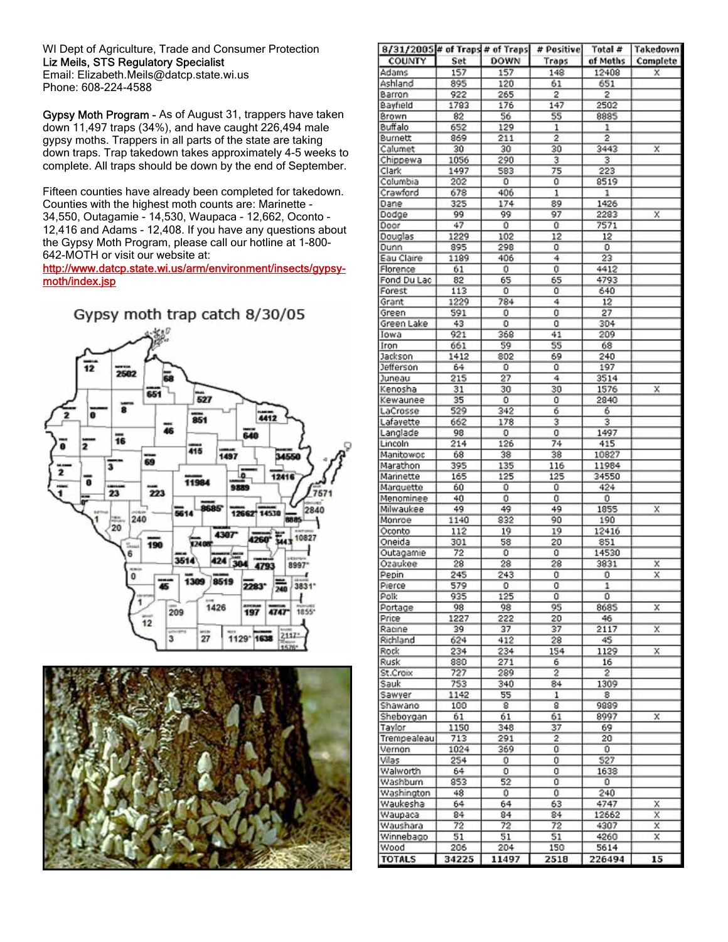WI Dept of Agriculture, Trade and Consumer Protection Liz Meils, STS Regulatory Specialist Email: Elizabeth.Meils@datcp.state.wi.us

Phone: 608-224-4588

Gypsy Moth Program - As of August 31, trappers have taken down 11,497 traps (34%), and have caught 226,494 male gypsy moths. Trappers in all parts of the state are taking down traps. Trap takedown takes approximately 4-5 weeks to complete. All traps should be down by the end of September.

Fifteen counties have already been completed for takedown. Counties with the highest moth counts are: Marinette - 34,550, Outagamie - 14,530, Waupaca - 12,662, Oconto - 12,416 and Adams - 12,408. If you have any questions about the Gypsy Moth Program, please call our hotline at 1-800- 642-MOTH or visit our website at:

#### http://www.datcp.state.wi.us/arm/environment/insects/gypsymoth/index.jsp





| 8/31/2005 # of Traps # of Traps |             |            | # Positive | ⊺ota I#   | Takedown                |
|---------------------------------|-------------|------------|------------|-----------|-------------------------|
| COUNTY                          | Set         | DOWN       | Traps      | of Moths  | Complete                |
| Adams                           | 157         | 157        | 148        | 12408     | х                       |
| Ashland                         | 895         | 120        | 61         | 651       |                         |
| Barron                          | 922<br>1783 | 265<br>176 | 2<br>147   | 2<br>2502 |                         |
| Bayfield<br>Brown               | 82          | 56         | 55         | 8885      |                         |
| <b>Buffalo</b>                  | 652         | 129        | ı          | ı         |                         |
| Burnett                         | 869         | 211        | 2          | 2         |                         |
| Calumet                         | 30          | 30         | 30         | 3443      | x                       |
| Chippewa                        | 1056        | 290        | з          | 3         |                         |
| Clark                           | 1497        | 583        | 75         | 223       |                         |
| Columbia                        | 202         | 0          | 0          | 8519      |                         |
| Crawford                        | 678         | 406        | ı          | 1         |                         |
| Dane                            | 325         | 174        | 89         | 1426      |                         |
| Dodge                           | 99          | 99         | 97         | 2283      | X                       |
| Door                            | 47          | 0          | ū          | 7571      |                         |
| Douglas                         | 1229        | 102        | 12         | 12        |                         |
| Dunn                            | 895         | 298        | 0          | о         |                         |
| Eau Claire                      | 1189        | 406        | 4          | 23        |                         |
| Florence                        | 61          | 0          | Ū          | 4412      |                         |
| Fond Du Lac                     | 82          | 65         | 65         | 4793      |                         |
| Forest                          | 113         | 0          | ٥          | 640       |                         |
| Grant                           | 1229        | 784        | 4          | 12        |                         |
| Green                           | 591         | o          | o          | 27        |                         |
| Green Lake                      | 43          | 0          | o          | 304       |                         |
| Iowa                            | 921         | 368        | 41         | 209       |                         |
| Iron                            | 661         | 59         | 55         | 68        |                         |
| Jackson                         | 1412        | 802        | 69         | 240       |                         |
| Jefferson                       | 64          | о          | ٥          | 197       |                         |
| Juneau                          | 215         | 27         | 4          | 3514      |                         |
| Kenosha                         | 31          | 30         | 30         | 1576      | х                       |
| Kewaunee                        | 35          | 0          | 0          | 2840      |                         |
| LaCrosse                        | 529         | 342        | 6          | 6         |                         |
| Lafayette                       | 662         | 178        | з          | з         |                         |
| Langlade                        | 98          | о          | 0          | 1497      |                         |
| Lincoln                         | 214         | 126        | 74         | 415       |                         |
| Manitowoc                       | 68          | 38         | 38         | 10827     |                         |
| Marathon                        | 395         | 135        | 116        | 11984     |                         |
| Mannette                        | 165         | 125        | 125        | 34550     |                         |
| Marquette                       | 60          | ٥          | û          | 424       |                         |
| Menominee                       | 40          | 0          | 0          | о         |                         |
| Milwaukee                       | 49          | 49         | 49         | 1855      | X                       |
| Monroe                          | 1140        | 832        | 90         | 190       |                         |
| Oconto                          | 112         | 19         | 19         | 12416     |                         |
| Oneida                          | 301         | 58         | 20         | 851       |                         |
| Outagamie                       | 72          | о          | o          | 14530     |                         |
| Ozaukee                         | 28          | 28         | 28         | 3831      | x                       |
| Pepin                           | 245         | 243        | Ũ          | 0         | $\overline{\mathsf{x}}$ |
| Prerce<br>Polk                  | 579<br>935  | о<br>125   | о<br>o     | 1<br>о    |                         |
| Portage                         | 98          | 98         | 95         | 8685      | x                       |
| Price                           | 1227        | 222        | 20         | 46        |                         |
| Racine                          | 39          | 37         | 37         | 2117      | X                       |
| Richland                        | 624         | 412        | 28         | 45        |                         |
| Rock.                           | 234         | 234        | 154        | 1129      | x                       |
| Rusk                            | 880         | 271        | 6          | 16        |                         |
| St.Croix                        | 727         | 289        | 2          | 2         |                         |
| Sauk                            | 753         | 340        | 84         | 1309      |                         |
| Sawyer                          | 1142        | 55         | 1          | 8         |                         |
| Shawano                         | 100         | 8          | 8          | 9889      |                         |
| Sheboygan                       | 61          | 61         | 61         | 8997      | x                       |
| Taylor                          | 1150        | 348        | 37         | 69        |                         |
| Trempealeau                     | 713         | 291        | 2          | 20        |                         |
| Vernon                          | 1024        | 369        | 0          | ٥         |                         |
| Vilas                           | 254         | 0          | Ū          | 527       |                         |
| Walworth                        | 64          | о          | 0          | 1638      |                         |
| Washburn                        | 853         | 52         | 0          | о         |                         |
| Washington                      | 48          | 0          | 0          | 240       |                         |
| Waukesha                        | 64          | 64         | 63         | 4747      | x                       |
| Waupaca                         | 84          | 84         | 84         | 12662     | x                       |
| Waushara                        | 72          | 72         | 72         | 4307      | x                       |
| Winnebago                       | 51          | 51         | 51         | 4260      | x                       |
| Wood                            | 206         | 204        | 150        | 5614      |                         |
| <b>TOTALS</b>                   | 34225       | 11497      | 2518       | 226494    | 15                      |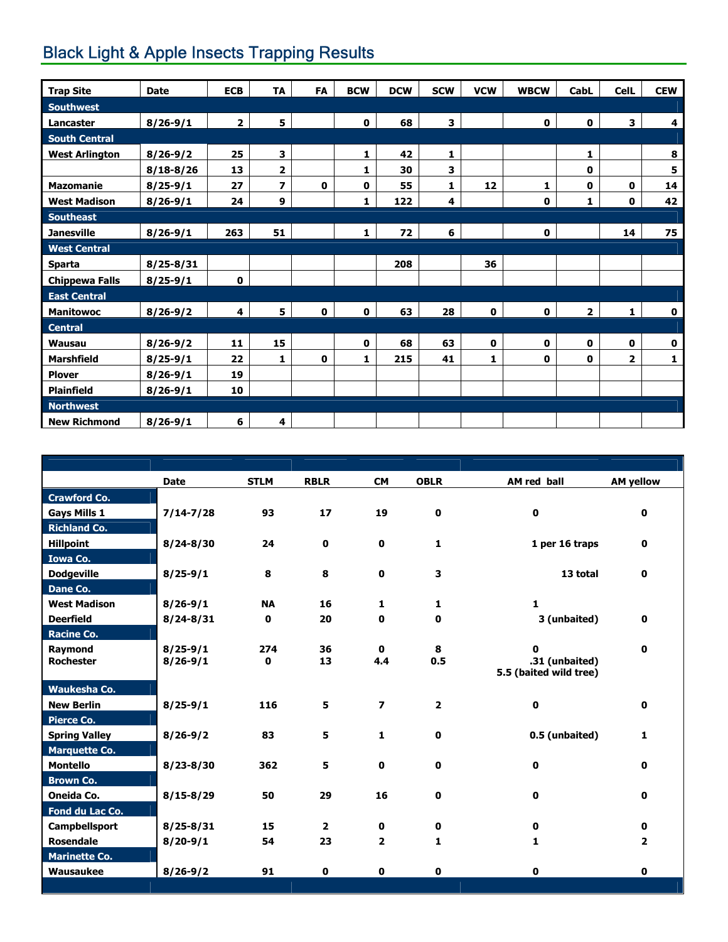# **Black Light & Apple Insects Trapping Results**

| <b>Trap Site</b>      | <b>Date</b>   | <b>ECB</b>     | <b>TA</b>               | <b>FA</b>   | <b>BCW</b>   | <b>DCW</b> | <b>SCW</b> | <b>VCW</b>  | <b>WBCW</b> | CabL         | <b>CelL</b> | <b>CEW</b>  |
|-----------------------|---------------|----------------|-------------------------|-------------|--------------|------------|------------|-------------|-------------|--------------|-------------|-------------|
| <b>Southwest</b>      |               |                |                         |             |              |            |            |             |             |              |             |             |
| Lancaster             | $8/26 - 9/1$  | $\overline{2}$ | 5                       |             | $\mathbf 0$  | 68         | 3          |             | 0           | $\pmb{0}$    | 3           | 4           |
| <b>South Central</b>  |               |                |                         |             |              |            |            |             |             |              |             |             |
| <b>West Arlington</b> | $8/26 - 9/2$  | 25             | 3                       |             | 1            | 42         | 1          |             |             | 1            |             | 8           |
|                       | $8/18 - 8/26$ | 13             | 2                       |             | 1            | 30         | 3          |             |             | 0            |             | 5           |
| Mazomanie             | $8/25 - 9/1$  | 27             | $\overline{\mathbf{z}}$ | $\mathbf 0$ | $\mathbf 0$  | 55         | 1          | 12          | 1           | 0            | 0           | 14          |
| <b>West Madison</b>   | $8/26 - 9/1$  | 24             | 9                       |             | $\mathbf{1}$ | 122        | 4          |             | 0           | $\mathbf{1}$ | $\mathbf 0$ | 42          |
| <b>Southeast</b>      |               |                |                         |             |              |            |            |             |             |              |             |             |
| <b>Janesville</b>     | $8/26 - 9/1$  | 263            | 51                      |             | $\mathbf{1}$ | 72         | 6          |             | 0           |              | 14          | 75          |
| <b>West Central</b>   |               |                |                         |             |              |            |            |             |             |              |             |             |
| <b>Sparta</b>         | $8/25 - 8/31$ |                |                         |             |              | 208        |            | 36          |             |              |             |             |
| <b>Chippewa Falls</b> | $8/25 - 9/1$  | $\mathbf 0$    |                         |             |              |            |            |             |             |              |             |             |
| <b>East Central</b>   |               |                |                         |             |              |            |            |             |             |              |             |             |
| <b>Manitowoc</b>      | $8/26 - 9/2$  | 4              | 5                       | $\mathbf 0$ | $\mathbf 0$  | 63         | 28         | $\mathbf 0$ | 0           | $\mathbf{2}$ | 1           | $\mathbf 0$ |
| <b>Central</b>        |               |                |                         |             |              |            |            |             |             |              |             |             |
| <b>Wausau</b>         | $8/26 - 9/2$  | 11             | 15                      |             | $\mathbf 0$  | 68         | 63         | $\mathbf 0$ | 0           | $\mathbf 0$  | $\mathbf 0$ | 0           |
| <b>Marshfield</b>     | $8/25 - 9/1$  | 22             | 1                       | $\mathbf 0$ | 1            | 215        | 41         | 1           | 0           | 0            | 2           | 1           |
| <b>Plover</b>         | $8/26 - 9/1$  | 19             |                         |             |              |            |            |             |             |              |             |             |
| <b>Plainfield</b>     | $8/26 - 9/1$  | 10             |                         |             |              |            |            |             |             |              |             |             |
| <b>Northwest</b>      |               |                |                         |             |              |            |            |             |             |              |             |             |
| <b>New Richmond</b>   | $8/26 - 9/1$  | 6              | 4                       |             |              |            |            |             |             |              |             |             |

|                      | <b>Date</b>   | <b>STLM</b> | <b>RBLR</b>    | <b>CM</b>                | <b>OBLR</b>    | AM red ball                              | <b>AM yellow</b> |
|----------------------|---------------|-------------|----------------|--------------------------|----------------|------------------------------------------|------------------|
| <b>Crawford Co.</b>  |               |             |                |                          |                |                                          |                  |
| <b>Gays Mills 1</b>  | $7/14 - 7/28$ | 93          | 17             | 19                       | $\mathbf 0$    | $\mathbf{0}$                             | 0                |
| <b>Richland Co.</b>  |               |             |                |                          |                |                                          |                  |
| <b>Hillpoint</b>     | $8/24 - 8/30$ | 24          | 0              | 0                        | 1              | 1 per 16 traps                           | 0                |
| <b>Iowa Co.</b>      |               |             |                |                          |                |                                          |                  |
| <b>Dodgeville</b>    | $8/25 - 9/1$  | 8           | 8              | $\mathbf{0}$             | 3              | 13 total                                 | $\mathbf 0$      |
| Dane Co.             |               |             |                |                          |                |                                          |                  |
| <b>West Madison</b>  | $8/26 - 9/1$  | <b>NA</b>   | 16             | 1                        | 1              | $\mathbf{1}$                             |                  |
| <b>Deerfield</b>     | $8/24 - 8/31$ | $\mathbf 0$ | 20             | 0                        | $\mathbf 0$    | 3 (unbaited)                             | 0                |
| <b>Racine Co.</b>    |               |             |                |                          |                |                                          |                  |
| Raymond              | $8/25 - 9/1$  | 274         | 36             | $\mathbf{0}$             | 8              | $\mathbf{0}$                             | 0                |
| <b>Rochester</b>     | $8/26 - 9/1$  | 0           | 13             | 4.4                      | 0.5            | .31 (unbaited)<br>5.5 (baited wild tree) |                  |
| Waukesha Co.         |               |             |                |                          |                |                                          |                  |
| <b>New Berlin</b>    | $8/25 - 9/1$  | 116         | 5.             | $\overline{\phantom{a}}$ | $\overline{2}$ | $\mathbf{0}$                             | 0                |
| <b>Pierce Co.</b>    |               |             |                |                          |                |                                          |                  |
| <b>Spring Valley</b> | $8/26 - 9/2$  | 83          | 5              | $\mathbf{1}$             | $\mathbf 0$    | 0.5 (unbaited)                           | 1                |
| <b>Marquette Co.</b> |               |             |                |                          |                |                                          |                  |
| <b>Montello</b>      | $8/23 - 8/30$ | 362         | 5              | 0                        | 0              | $\mathbf{0}$                             | 0                |
| <b>Brown Co.</b>     |               |             |                |                          |                |                                          |                  |
| <b>Oneida Co.</b>    | $8/15 - 8/29$ | 50          | 29             | 16                       | $\mathbf 0$    | $\mathbf{0}$                             | 0                |
| Fond du Lac Co.      |               |             |                |                          |                |                                          |                  |
| <b>Campbellsport</b> | $8/25 - 8/31$ | 15          | $\overline{2}$ | 0                        | $\mathbf 0$    | $\mathbf{0}$                             | 0                |
| <b>Rosendale</b>     | $8/20 - 9/1$  | 54          | 23             | $\overline{2}$           | 1              | 1                                        | 2                |
| <b>Marinette Co.</b> |               |             |                |                          |                |                                          |                  |
| Wausaukee            | $8/26 - 9/2$  | 91          | 0              | 0                        | 0              | $\mathbf{0}$                             | 0                |
|                      |               |             |                |                          |                |                                          |                  |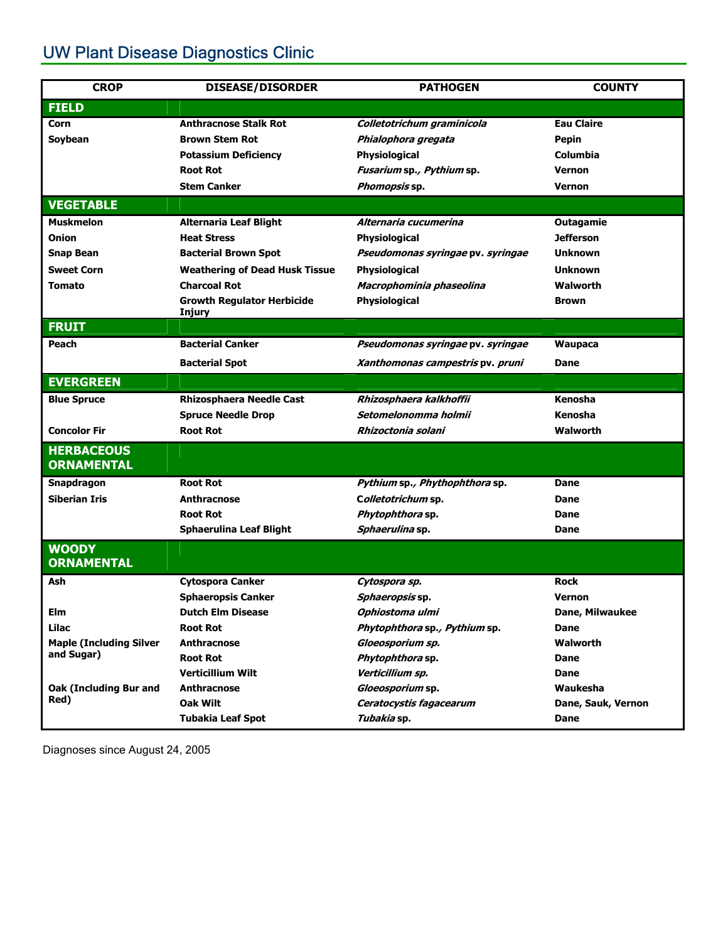# UW Plant Disease Diagnostics Clinic

| <b>CROP</b>                        | <b>DISEASE/DISORDER</b>                      | <b>PATHOGEN</b>                     | <b>COUNTY</b>      |
|------------------------------------|----------------------------------------------|-------------------------------------|--------------------|
| <b>FIELD</b>                       |                                              |                                     |                    |
| Corn                               | <b>Anthracnose Stalk Rot</b>                 | Colletotrichum graminicola          | <b>Eau Claire</b>  |
| Soybean                            | <b>Brown Stem Rot</b>                        | Phialophora gregata                 | Pepin              |
|                                    | <b>Potassium Deficiency</b>                  | Physiological                       | <b>Columbia</b>    |
|                                    | <b>Root Rot</b>                              | Fusarium sp., Pythium sp.           | <b>Vernon</b>      |
|                                    | <b>Stem Canker</b>                           | Phomopsis sp.                       | <b>Vernon</b>      |
| <b>VEGETABLE</b>                   |                                              |                                     |                    |
| <b>Muskmelon</b>                   | <b>Alternaria Leaf Blight</b>                | Alternaria cucumerina               | <b>Outagamie</b>   |
| Onion                              | <b>Heat Stress</b>                           | Physiological                       | <b>Jefferson</b>   |
| <b>Snap Bean</b>                   | <b>Bacterial Brown Spot</b>                  | Pseudomonas syringae pv. syringae   | <b>Unknown</b>     |
| <b>Sweet Corn</b>                  | <b>Weathering of Dead Husk Tissue</b>        | Physiological                       | <b>Unknown</b>     |
| <b>Tomato</b>                      | <b>Charcoal Rot</b>                          | Macrophominia phaseolina            | Walworth           |
|                                    | <b>Growth Regulator Herbicide</b>            | Physiological                       | <b>Brown</b>       |
| <b>FRUIT</b>                       | Injury                                       |                                     |                    |
| Peach                              | <b>Bacterial Canker</b>                      | Pseudomonas syringae pv. syringae   | <b>Waupaca</b>     |
|                                    | <b>Bacterial Spot</b>                        | Xanthomonas campestris pv. pruni    | Dane               |
| <b>EVERGREEN</b>                   |                                              |                                     |                    |
| <b>Blue Spruce</b>                 | <b>Rhizosphaera Needle Cast</b>              | Rhizosphaera kalkhoffii             | Kenosha            |
|                                    |                                              | Setomelonomma holmii                | Kenosha            |
| <b>Concolor Fir</b>                | <b>Spruce Needle Drop</b><br><b>Root Rot</b> | Rhizoctonia solani                  | Walworth           |
| <b>HERBACEOUS</b>                  |                                              |                                     |                    |
| <b>ORNAMENTAL</b>                  |                                              |                                     |                    |
|                                    | <b>Root Rot</b>                              |                                     | Dane               |
| Snapdragon<br><b>Siberian Iris</b> |                                              | Pythium sp., Phythophthora sp.      | Dane               |
|                                    | <b>Anthracnose</b><br><b>Root Rot</b>        | Colletotrichum sp.                  |                    |
|                                    | <b>Sphaerulina Leaf Blight</b>               | Phytophthora sp.<br>Sphaerulina sp. | Dane<br>Dane       |
|                                    |                                              |                                     |                    |
| <b>WOODY</b><br><b>ORNAMENTAL</b>  |                                              |                                     |                    |
| Ash                                | <b>Cytospora Canker</b>                      | Cytospora sp.                       | <b>Rock</b>        |
|                                    | <b>Sphaeropsis Canker</b>                    | Sphaeropsis sp.                     | <b>Vernon</b>      |
| Elm                                | <b>Dutch Elm Disease</b>                     | Ophiostoma ulmi                     | Dane, Milwaukee    |
| Lilac                              | <b>Root Rot</b>                              | Phytophthora sp., Pythium sp.       | <b>Dane</b>        |
| <b>Maple (Including Silver</b>     | Anthracnose                                  | Gloeosporium sp.                    | Walworth           |
| and Sugar)                         | <b>Root Rot</b>                              | Phytophthora sp.                    | <b>Dane</b>        |
|                                    | <b>Verticillium Wilt</b>                     | Verticillium sp.                    | Dane               |
| <b>Oak (Including Bur and</b>      | <b>Anthracnose</b>                           | Gloeosporium sp.                    | Waukesha           |
| Red)                               | Oak Wilt                                     | Ceratocystis fagacearum             | Dane, Sauk, Vernon |
|                                    | <b>Tubakia Leaf Spot</b>                     | Tubakia sp.                         | Dane               |

Diagnoses since August 24, 2005